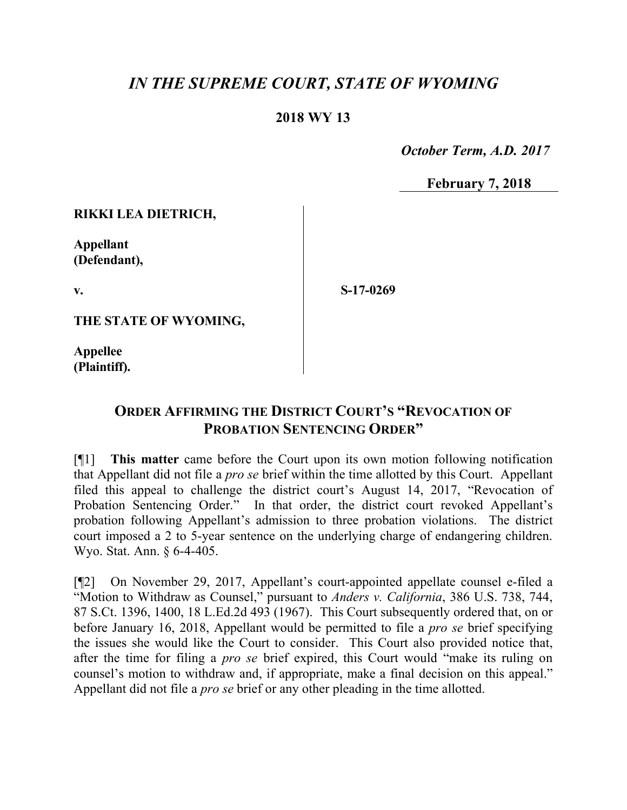## *IN THE SUPREME COURT, STATE OF WYOMING*

## **2018 WY 13**

 *October Term, A.D. 2017*

**February 7, 2018**

**RIKKI LEA DIETRICH,**

**Appellant (Defendant),**

**v.**

**S-17-0269**

**THE STATE OF WYOMING,**

**Appellee (Plaintiff).**

## **ORDER AFFIRMING THE DISTRICT COURT'S "REVOCATION OF PROBATION SENTENCING ORDER"**

[¶1] **This matter** came before the Court upon its own motion following notification that Appellant did not file a *pro se* brief within the time allotted by this Court. Appellant filed this appeal to challenge the district court's August 14, 2017, "Revocation of Probation Sentencing Order." In that order, the district court revoked Appellant's probation following Appellant's admission to three probation violations. The district court imposed a 2 to 5-year sentence on the underlying charge of endangering children. Wyo. Stat. Ann. § 6-4-405.

[¶2] On November 29, 2017, Appellant's court-appointed appellate counsel e-filed a "Motion to Withdraw as Counsel," pursuant to *Anders v. California*, 386 U.S. 738, 744, 87 S.Ct. 1396, 1400, 18 L.Ed.2d 493 (1967). This Court subsequently ordered that, on or before January 16, 2018, Appellant would be permitted to file a *pro se* brief specifying the issues she would like the Court to consider. This Court also provided notice that, after the time for filing a *pro se* brief expired, this Court would "make its ruling on counsel's motion to withdraw and, if appropriate, make a final decision on this appeal." Appellant did not file a *pro se* brief or any other pleading in the time allotted.